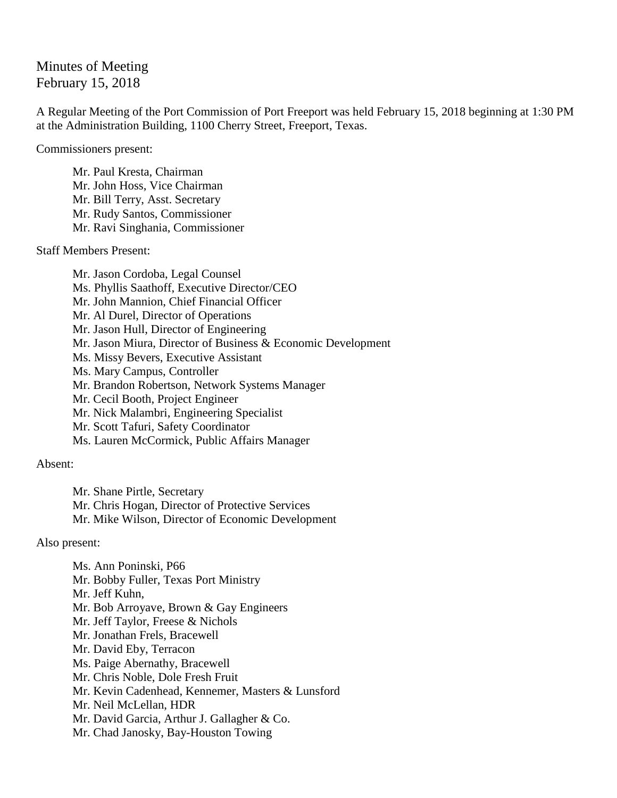## Minutes of Meeting February 15, 2018

A Regular Meeting of the Port Commission of Port Freeport was held February 15, 2018 beginning at 1:30 PM at the Administration Building, 1100 Cherry Street, Freeport, Texas.

Commissioners present:

Mr. Paul Kresta, Chairman Mr. John Hoss, Vice Chairman Mr. Bill Terry, Asst. Secretary Mr. Rudy Santos, Commissioner Mr. Ravi Singhania, Commissioner

Staff Members Present:

Mr. Jason Cordoba, Legal Counsel Ms. Phyllis Saathoff, Executive Director/CEO Mr. John Mannion, Chief Financial Officer Mr. Al Durel, Director of Operations Mr. Jason Hull, Director of Engineering Mr. Jason Miura, Director of Business & Economic Development Ms. Missy Bevers, Executive Assistant Ms. Mary Campus, Controller Mr. Brandon Robertson, Network Systems Manager Mr. Cecil Booth, Project Engineer Mr. Nick Malambri, Engineering Specialist Mr. Scott Tafuri, Safety Coordinator Ms. Lauren McCormick, Public Affairs Manager

## Absent:

Mr. Shane Pirtle, Secretary Mr. Chris Hogan, Director of Protective Services Mr. Mike Wilson, Director of Economic Development

## Also present:

Ms. Ann Poninski, P66 Mr. Bobby Fuller, Texas Port Ministry Mr. Jeff Kuhn, Mr. Bob Arroyave, Brown & Gay Engineers Mr. Jeff Taylor, Freese & Nichols Mr. Jonathan Frels, Bracewell Mr. David Eby, Terracon Ms. Paige Abernathy, Bracewell Mr. Chris Noble, Dole Fresh Fruit Mr. Kevin Cadenhead, Kennemer, Masters & Lunsford Mr. Neil McLellan, HDR Mr. David Garcia, Arthur J. Gallagher & Co. Mr. Chad Janosky, Bay-Houston Towing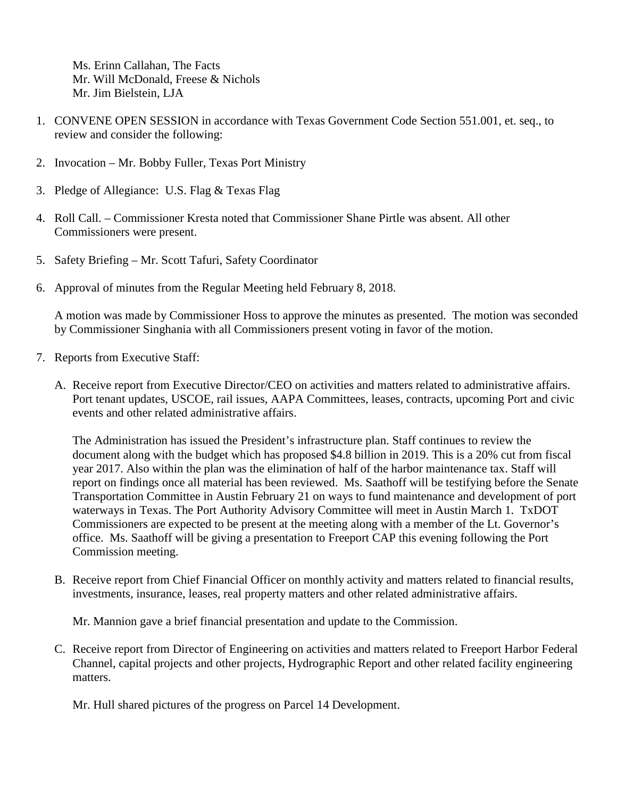Ms. Erinn Callahan, The Facts Mr. Will McDonald, Freese & Nichols Mr. Jim Bielstein, LJA

- 1. CONVENE OPEN SESSION in accordance with Texas Government Code Section 551.001, et. seq., to review and consider the following:
- 2. Invocation Mr. Bobby Fuller, Texas Port Ministry
- 3. Pledge of Allegiance: U.S. Flag & Texas Flag
- 4. Roll Call. Commissioner Kresta noted that Commissioner Shane Pirtle was absent. All other Commissioners were present.
- 5. Safety Briefing Mr. Scott Tafuri, Safety Coordinator
- 6. Approval of minutes from the Regular Meeting held February 8, 2018.

A motion was made by Commissioner Hoss to approve the minutes as presented. The motion was seconded by Commissioner Singhania with all Commissioners present voting in favor of the motion.

- 7. Reports from Executive Staff:
	- A. Receive report from Executive Director/CEO on activities and matters related to administrative affairs. Port tenant updates, USCOE, rail issues, AAPA Committees, leases, contracts, upcoming Port and civic events and other related administrative affairs.

The Administration has issued the President's infrastructure plan. Staff continues to review the document along with the budget which has proposed \$4.8 billion in 2019. This is a 20% cut from fiscal year 2017. Also within the plan was the elimination of half of the harbor maintenance tax. Staff will report on findings once all material has been reviewed. Ms. Saathoff will be testifying before the Senate Transportation Committee in Austin February 21 on ways to fund maintenance and development of port waterways in Texas. The Port Authority Advisory Committee will meet in Austin March 1. TxDOT Commissioners are expected to be present at the meeting along with a member of the Lt. Governor's office. Ms. Saathoff will be giving a presentation to Freeport CAP this evening following the Port Commission meeting.

B. Receive report from Chief Financial Officer on monthly activity and matters related to financial results, investments, insurance, leases, real property matters and other related administrative affairs.

Mr. Mannion gave a brief financial presentation and update to the Commission.

C. Receive report from Director of Engineering on activities and matters related to Freeport Harbor Federal Channel, capital projects and other projects, Hydrographic Report and other related facility engineering matters.

Mr. Hull shared pictures of the progress on Parcel 14 Development.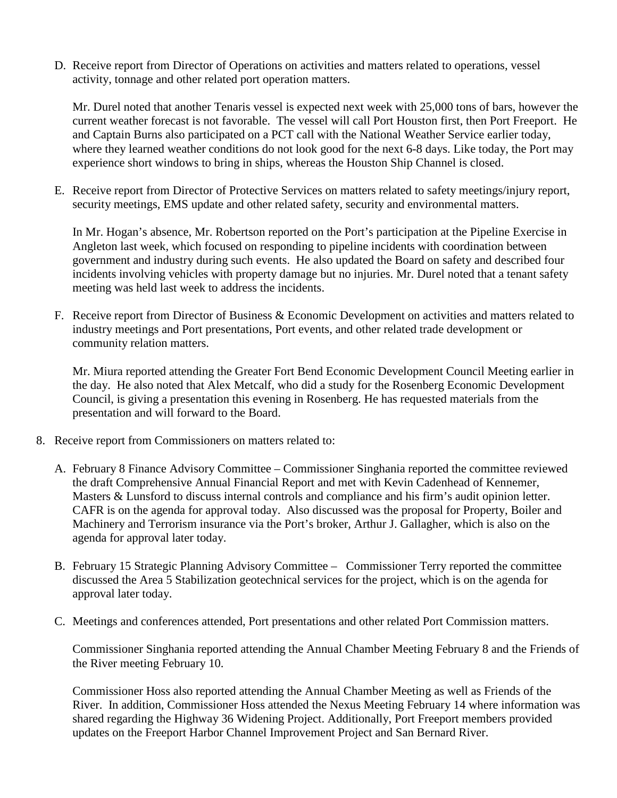D. Receive report from Director of Operations on activities and matters related to operations, vessel activity, tonnage and other related port operation matters.

Mr. Durel noted that another Tenaris vessel is expected next week with 25,000 tons of bars, however the current weather forecast is not favorable. The vessel will call Port Houston first, then Port Freeport. He and Captain Burns also participated on a PCT call with the National Weather Service earlier today, where they learned weather conditions do not look good for the next 6-8 days. Like today, the Port may experience short windows to bring in ships, whereas the Houston Ship Channel is closed.

E. Receive report from Director of Protective Services on matters related to safety meetings/injury report, security meetings, EMS update and other related safety, security and environmental matters.

In Mr. Hogan's absence, Mr. Robertson reported on the Port's participation at the Pipeline Exercise in Angleton last week, which focused on responding to pipeline incidents with coordination between government and industry during such events. He also updated the Board on safety and described four incidents involving vehicles with property damage but no injuries. Mr. Durel noted that a tenant safety meeting was held last week to address the incidents.

F. Receive report from Director of Business & Economic Development on activities and matters related to industry meetings and Port presentations, Port events, and other related trade development or community relation matters.

Mr. Miura reported attending the Greater Fort Bend Economic Development Council Meeting earlier in the day. He also noted that Alex Metcalf, who did a study for the Rosenberg Economic Development Council, is giving a presentation this evening in Rosenberg. He has requested materials from the presentation and will forward to the Board.

- 8. Receive report from Commissioners on matters related to:
	- A. February 8 Finance Advisory Committee Commissioner Singhania reported the committee reviewed the draft Comprehensive Annual Financial Report and met with Kevin Cadenhead of Kennemer, Masters & Lunsford to discuss internal controls and compliance and his firm's audit opinion letter. CAFR is on the agenda for approval today. Also discussed was the proposal for Property, Boiler and Machinery and Terrorism insurance via the Port's broker, Arthur J. Gallagher, which is also on the agenda for approval later today.
	- B. February 15 Strategic Planning Advisory Committee Commissioner Terry reported the committee discussed the Area 5 Stabilization geotechnical services for the project, which is on the agenda for approval later today.
	- C. Meetings and conferences attended, Port presentations and other related Port Commission matters.

Commissioner Singhania reported attending the Annual Chamber Meeting February 8 and the Friends of the River meeting February 10.

Commissioner Hoss also reported attending the Annual Chamber Meeting as well as Friends of the River. In addition, Commissioner Hoss attended the Nexus Meeting February 14 where information was shared regarding the Highway 36 Widening Project. Additionally, Port Freeport members provided updates on the Freeport Harbor Channel Improvement Project and San Bernard River.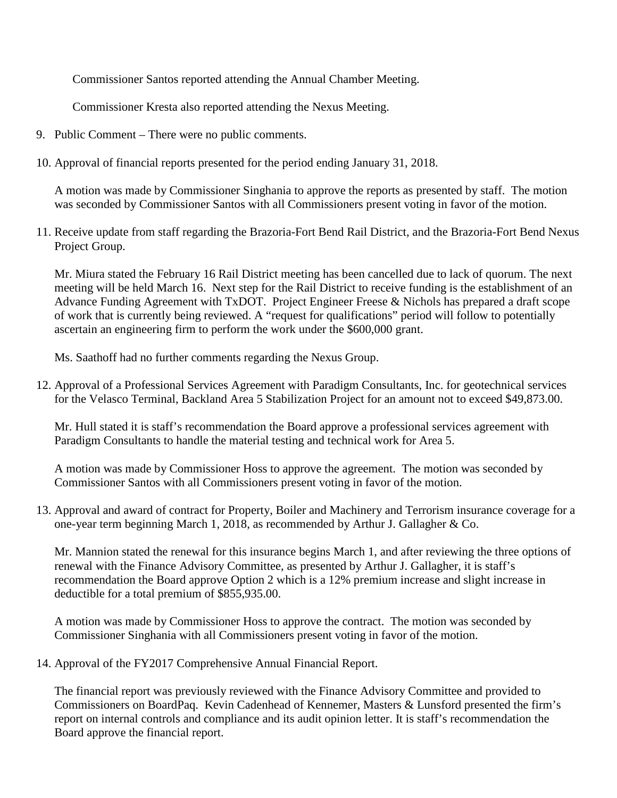Commissioner Santos reported attending the Annual Chamber Meeting.

Commissioner Kresta also reported attending the Nexus Meeting.

- 9. Public Comment There were no public comments.
- 10. Approval of financial reports presented for the period ending January 31, 2018.

A motion was made by Commissioner Singhania to approve the reports as presented by staff. The motion was seconded by Commissioner Santos with all Commissioners present voting in favor of the motion.

11. Receive update from staff regarding the Brazoria-Fort Bend Rail District, and the Brazoria-Fort Bend Nexus Project Group.

Mr. Miura stated the February 16 Rail District meeting has been cancelled due to lack of quorum. The next meeting will be held March 16. Next step for the Rail District to receive funding is the establishment of an Advance Funding Agreement with TxDOT. Project Engineer Freese & Nichols has prepared a draft scope of work that is currently being reviewed. A "request for qualifications" period will follow to potentially ascertain an engineering firm to perform the work under the \$600,000 grant.

Ms. Saathoff had no further comments regarding the Nexus Group.

12. Approval of a Professional Services Agreement with Paradigm Consultants, Inc. for geotechnical services for the Velasco Terminal, Backland Area 5 Stabilization Project for an amount not to exceed \$49,873.00.

Mr. Hull stated it is staff's recommendation the Board approve a professional services agreement with Paradigm Consultants to handle the material testing and technical work for Area 5.

A motion was made by Commissioner Hoss to approve the agreement. The motion was seconded by Commissioner Santos with all Commissioners present voting in favor of the motion.

13. Approval and award of contract for Property, Boiler and Machinery and Terrorism insurance coverage for a one-year term beginning March 1, 2018, as recommended by Arthur J. Gallagher & Co.

Mr. Mannion stated the renewal for this insurance begins March 1, and after reviewing the three options of renewal with the Finance Advisory Committee, as presented by Arthur J. Gallagher, it is staff's recommendation the Board approve Option 2 which is a 12% premium increase and slight increase in deductible for a total premium of \$855,935.00.

A motion was made by Commissioner Hoss to approve the contract. The motion was seconded by Commissioner Singhania with all Commissioners present voting in favor of the motion.

14. Approval of the FY2017 Comprehensive Annual Financial Report.

The financial report was previously reviewed with the Finance Advisory Committee and provided to Commissioners on BoardPaq. Kevin Cadenhead of Kennemer, Masters & Lunsford presented the firm's report on internal controls and compliance and its audit opinion letter. It is staff's recommendation the Board approve the financial report.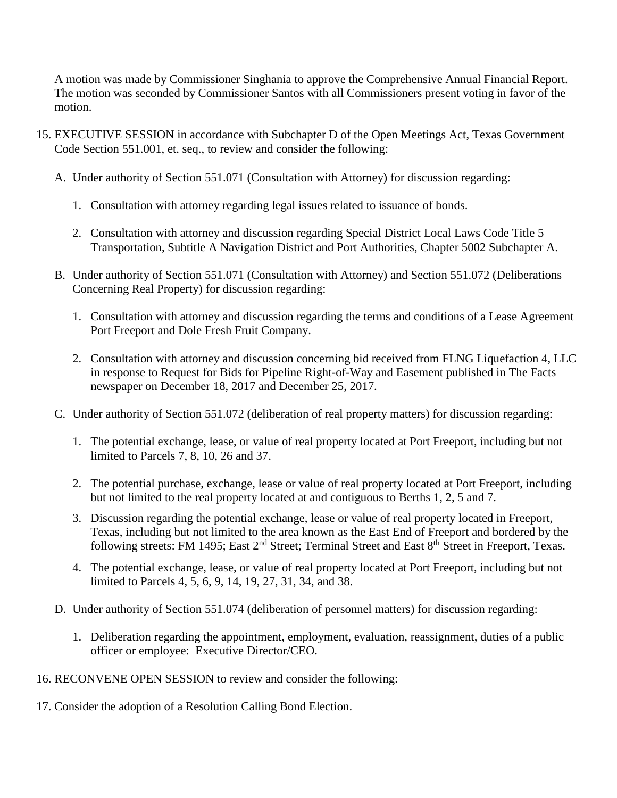A motion was made by Commissioner Singhania to approve the Comprehensive Annual Financial Report. The motion was seconded by Commissioner Santos with all Commissioners present voting in favor of the motion.

- 15. EXECUTIVE SESSION in accordance with Subchapter D of the Open Meetings Act, Texas Government Code Section 551.001, et. seq., to review and consider the following:
	- A. Under authority of Section 551.071 (Consultation with Attorney) for discussion regarding:
		- 1. Consultation with attorney regarding legal issues related to issuance of bonds.
		- 2. Consultation with attorney and discussion regarding Special District Local Laws Code Title 5 Transportation, Subtitle A Navigation District and Port Authorities, Chapter 5002 Subchapter A.
	- B. Under authority of Section 551.071 (Consultation with Attorney) and Section 551.072 (Deliberations Concerning Real Property) for discussion regarding:
		- 1. Consultation with attorney and discussion regarding the terms and conditions of a Lease Agreement Port Freeport and Dole Fresh Fruit Company.
		- 2. Consultation with attorney and discussion concerning bid received from FLNG Liquefaction 4, LLC in response to Request for Bids for Pipeline Right-of-Way and Easement published in The Facts newspaper on December 18, 2017 and December 25, 2017.
	- C. Under authority of Section 551.072 (deliberation of real property matters) for discussion regarding:
		- 1. The potential exchange, lease, or value of real property located at Port Freeport, including but not limited to Parcels 7, 8, 10, 26 and 37.
		- 2. The potential purchase, exchange, lease or value of real property located at Port Freeport, including but not limited to the real property located at and contiguous to Berths 1, 2, 5 and 7.
		- 3. Discussion regarding the potential exchange, lease or value of real property located in Freeport, Texas, including but not limited to the area known as the East End of Freeport and bordered by the following streets: FM 1495; East 2<sup>nd</sup> Street; Terminal Street and East 8<sup>th</sup> Street in Freeport, Texas.
		- 4. The potential exchange, lease, or value of real property located at Port Freeport, including but not limited to Parcels 4, 5, 6, 9, 14, 19, 27, 31, 34, and 38.
	- D. Under authority of Section 551.074 (deliberation of personnel matters) for discussion regarding:
		- 1. Deliberation regarding the appointment, employment, evaluation, reassignment, duties of a public officer or employee: Executive Director/CEO.
- 16. RECONVENE OPEN SESSION to review and consider the following:
- 17. Consider the adoption of a Resolution Calling Bond Election.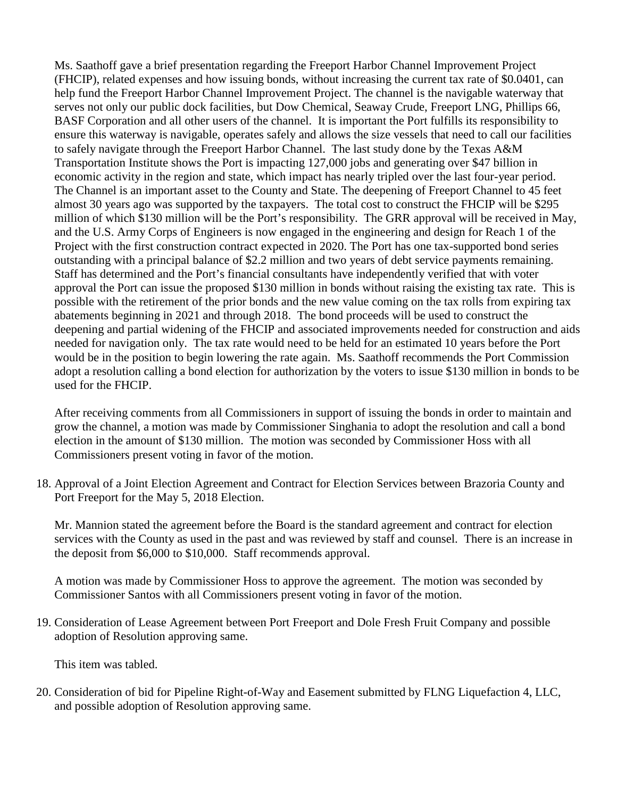Ms. Saathoff gave a brief presentation regarding the Freeport Harbor Channel Improvement Project (FHCIP), related expenses and how issuing bonds, without increasing the current tax rate of \$0.0401, can help fund the Freeport Harbor Channel Improvement Project. The channel is the navigable waterway that serves not only our public dock facilities, but Dow Chemical, Seaway Crude, Freeport LNG, Phillips 66, BASF Corporation and all other users of the channel. It is important the Port fulfills its responsibility to ensure this waterway is navigable, operates safely and allows the size vessels that need to call our facilities to safely navigate through the Freeport Harbor Channel. The last study done by the Texas A&M Transportation Institute shows the Port is impacting 127,000 jobs and generating over \$47 billion in economic activity in the region and state, which impact has nearly tripled over the last four-year period. The Channel is an important asset to the County and State. The deepening of Freeport Channel to 45 feet almost 30 years ago was supported by the taxpayers. The total cost to construct the FHCIP will be \$295 million of which \$130 million will be the Port's responsibility. The GRR approval will be received in May, and the U.S. Army Corps of Engineers is now engaged in the engineering and design for Reach 1 of the Project with the first construction contract expected in 2020. The Port has one tax-supported bond series outstanding with a principal balance of \$2.2 million and two years of debt service payments remaining. Staff has determined and the Port's financial consultants have independently verified that with voter approval the Port can issue the proposed \$130 million in bonds without raising the existing tax rate. This is possible with the retirement of the prior bonds and the new value coming on the tax rolls from expiring tax abatements beginning in 2021 and through 2018. The bond proceeds will be used to construct the deepening and partial widening of the FHCIP and associated improvements needed for construction and aids needed for navigation only. The tax rate would need to be held for an estimated 10 years before the Port would be in the position to begin lowering the rate again. Ms. Saathoff recommends the Port Commission adopt a resolution calling a bond election for authorization by the voters to issue \$130 million in bonds to be used for the FHCIP.

After receiving comments from all Commissioners in support of issuing the bonds in order to maintain and grow the channel, a motion was made by Commissioner Singhania to adopt the resolution and call a bond election in the amount of \$130 million. The motion was seconded by Commissioner Hoss with all Commissioners present voting in favor of the motion.

18. Approval of a Joint Election Agreement and Contract for Election Services between Brazoria County and Port Freeport for the May 5, 2018 Election.

Mr. Mannion stated the agreement before the Board is the standard agreement and contract for election services with the County as used in the past and was reviewed by staff and counsel. There is an increase in the deposit from \$6,000 to \$10,000. Staff recommends approval.

A motion was made by Commissioner Hoss to approve the agreement. The motion was seconded by Commissioner Santos with all Commissioners present voting in favor of the motion.

19. Consideration of Lease Agreement between Port Freeport and Dole Fresh Fruit Company and possible adoption of Resolution approving same.

This item was tabled.

20. Consideration of bid for Pipeline Right-of-Way and Easement submitted by FLNG Liquefaction 4, LLC, and possible adoption of Resolution approving same.